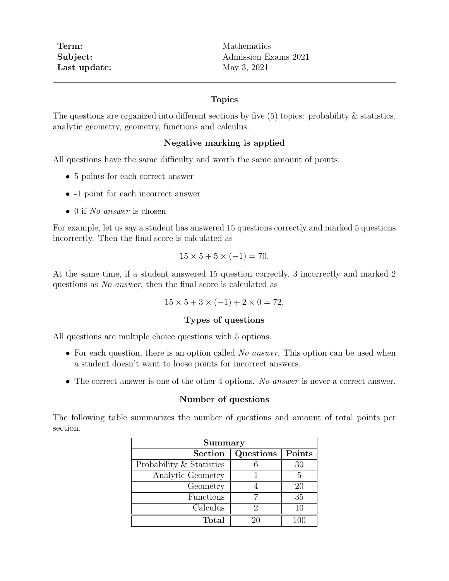Term: Mathematics Last update: May 3, 2021

Subject: Admission Exams 2021

### Topics

The questions are organized into different sections by five (5) topics: probability & statistics, analytic geometry, geometry, functions and calculus.

### Negative marking is applied

All questions have the same difficulty and worth the same amount of points.

- 5 points for each correct answer
- -1 point for each incorrect answer
- 0 if No answer is chosen

For example, let us say a student has answered 15 questions correctly and marked 5 questions incorrectly. Then the final score is calculated as

$$
15 \times 5 + 5 \times (-1) = 70.
$$

At the same time, if a student answered 15 question correctly, 3 incorrectly and marked 2 questions as No answer, then the final score is calculated as

$$
15 \times 5 + 3 \times (-1) + 2 \times 0 = 72.
$$

#### Types of questions

All questions are multiple choice questions with 5 options.

- For each question, there is an option called No answer. This option can be used when a student doesn't want to loose points for incorrect answers.
- The correct answer is one of the other 4 options. No answer is never a correct answer.

#### Number of questions

The following table summarizes the number of questions and amount of total points per section.

| Summary                  |           |        |
|--------------------------|-----------|--------|
| <b>Section</b>           | Questions | Points |
| Probability & Statistics |           | 30     |
| Analytic Geometry        |           | 5      |
| Geometry                 |           | 20     |
| Functions                |           | 35     |
| Calculus                 |           | 10     |
| <b>Total</b>             |           |        |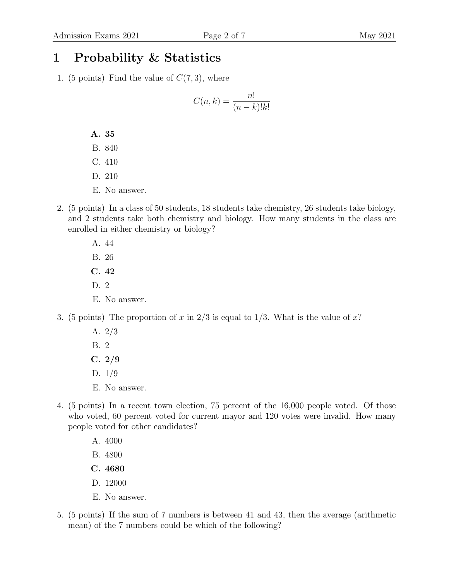### 1 Probability & Statistics

1. (5 points) Find the value of  $C(7,3)$ , where

$$
C(n,k) = \frac{n!}{(n-k)!k!}
$$

- A. 35
- B. 840
- C. 410
- D. 210
- E. No answer.
- 2. (5 points) In a class of 50 students, 18 students take chemistry, 26 students take biology, and 2 students take both chemistry and biology. How many students in the class are enrolled in either chemistry or biology?
	- A. 44 B. 26 C. 42 D. 2
	- E. No answer.
- 3. (5 points) The proportion of x in  $2/3$  is equal to  $1/3$ . What is the value of x?
	- A. 2/3
	- B. 2
	- $C. 2/9$
	- D. 1/9
	- E. No answer.
- 4. (5 points) In a recent town election, 75 percent of the 16,000 people voted. Of those who voted, 60 percent voted for current mayor and 120 votes were invalid. How many people voted for other candidates?
	- A. 4000
	- B. 4800
	- C. 4680
	- D. 12000
	- E. No answer.
- 5. (5 points) If the sum of 7 numbers is between 41 and 43, then the average (arithmetic mean) of the 7 numbers could be which of the following?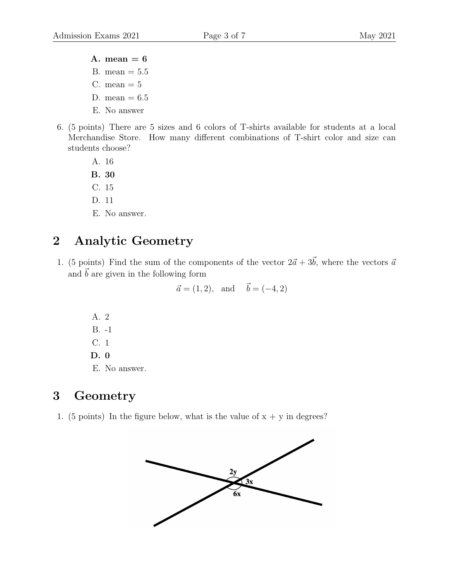- A. mean  $= 6$ B. mean  $= 5.5$
- C. mean  $= 5$
- D. mean  $= 6.5$
- E. No answer
- 6. (5 points) There are 5 sizes and 6 colors of T-shirts available for students at a local Merchandise Store. How many different combinations of T-shirt color and size can students choose?
	- A. 16 B. 30
	- C. 15
	- D. 11
	- E. No answer.

## 2 Analytic Geometry

1. (5 points) Find the sum of the components of the vector  $2\vec{a} + 3\vec{b}$ , where the vectors  $\vec{a}$ and  $\vec{b}$  are given in the following form

$$
\vec{a} = (1, 2), \text{ and } \vec{b} = (-4, 2)
$$

A. 2 B. -1 C. 1 D. 0 E. No answer.

### 3 Geometry

1. (5 points) In the figure below, what is the value of  $x + y$  in degrees?

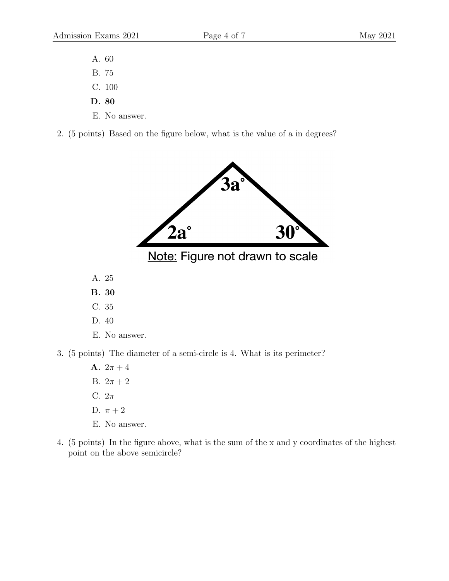- A. 60
- B. 75
- C. 100
- D. 80
- E. No answer.
- 2. (5 points) Based on the figure below, what is the value of a in degrees?



- **A.**  $2\pi + 4$ B.  $2\pi + 2$ C.  $2\pi$ D.  $\pi + 2$ E. No answer.
- 4. (5 points) In the figure above, what is the sum of the x and y coordinates of the highest point on the above semicircle?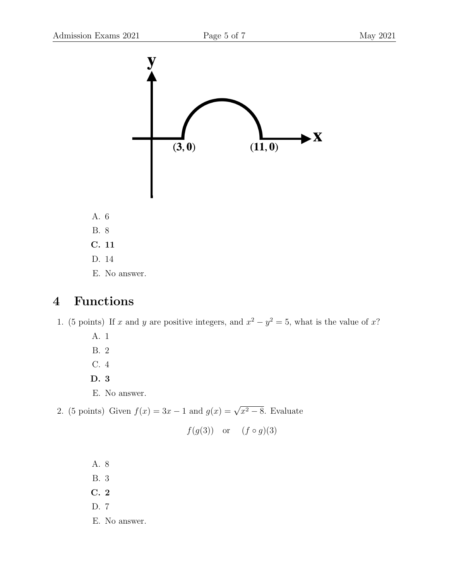

### 4 Functions

1. (5 points) If x and y are positive integers, and  $x^2 - y^2 = 5$ , what is the value of x?

- A. 1
- B. 2
- C. 4
- D. 3
- E. No answer.
- 2. (5 points) Given  $f(x) = 3x 1$  and  $g(x) = \sqrt{x^2 8}$ . Evaluate

$$
f(g(3))
$$
 or  $(f \circ g)(3)$ 

A. 8 B. 3 C. 2 D. 7 E. No answer.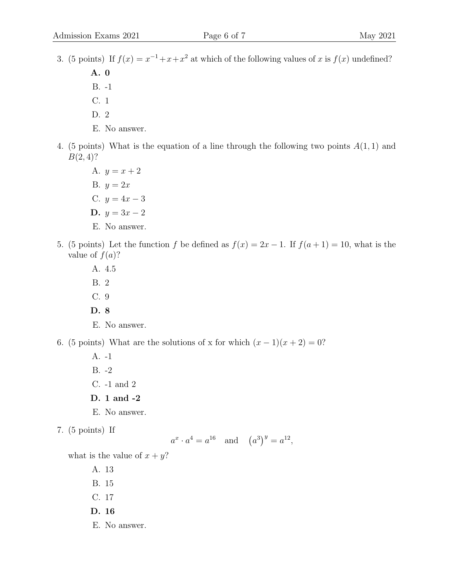3. (5 points) If  $f(x) = x^{-1} + x + x^2$  at which of the following values of x is  $f(x)$  undefined?

A. 0 B. -1 C. 1

- D. 2
- E. No answer.
- 4. (5 points) What is the equation of a line through the following two points  $A(1,1)$  and  $B(2, 4)$ ?
	- A.  $y = x + 2$ B.  $y = 2x$ C.  $y = 4x - 3$ D.  $y = 3x - 2$ E. No answer.
- 5. (5 points) Let the function f be defined as  $f(x) = 2x 1$ . If  $f(a+1) = 10$ , what is the value of  $f(a)$ ?
	- A. 4.5 B. 2 C. 9
	- D. 8
	- E. No answer.

6. (5 points) What are the solutions of x for which  $(x - 1)(x + 2) = 0$ ?

- A. -1 B. -2 C. -1 and 2
- D. 1 and -2
- E. No answer.
- 7. (5 points) If

$$
a^x \cdot a^4 = a^{16}
$$
 and  $(a^3)^y = a^{12}$ ,

what is the value of  $x + y$ ?

A. 13 B. 15 C. 17 D. 16 E. No answer.